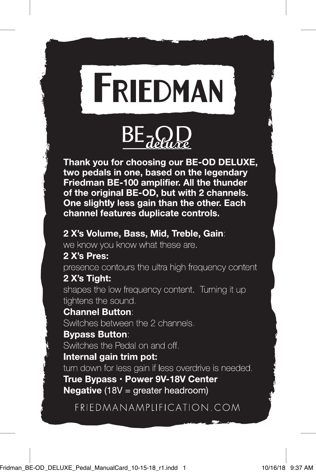



Thank you for choosing our BE-OD DELUXE. two pedals in one, based on the legendary Friedman BE-100 amplifier. All the thunder of the original BE-OD, but with 2 channels. One slightly less gain than the other. Each channel features duplicate controls.

## 2 X's Volume, Bass, Mid, Treble, Gain:

we know you know what these are.

# 2 X's Pres:

presence contours the ultra high frequency content 2 X's Tight: shapes the low frequency content. Turning it up tightens the sound.

## **Channel Button:**

Switches between the 2 channels.

## **Bypass Button:**

Switches the Pedal on and off.

### Internal gain trim pot:

turn down for less gain if less overdrive is needed.

True Bypass · Power 9V-18V Center **Negative**  $(18V = \text{greater} \text{header})$ 

# FRIEDMANAMPLIFICATION.COM